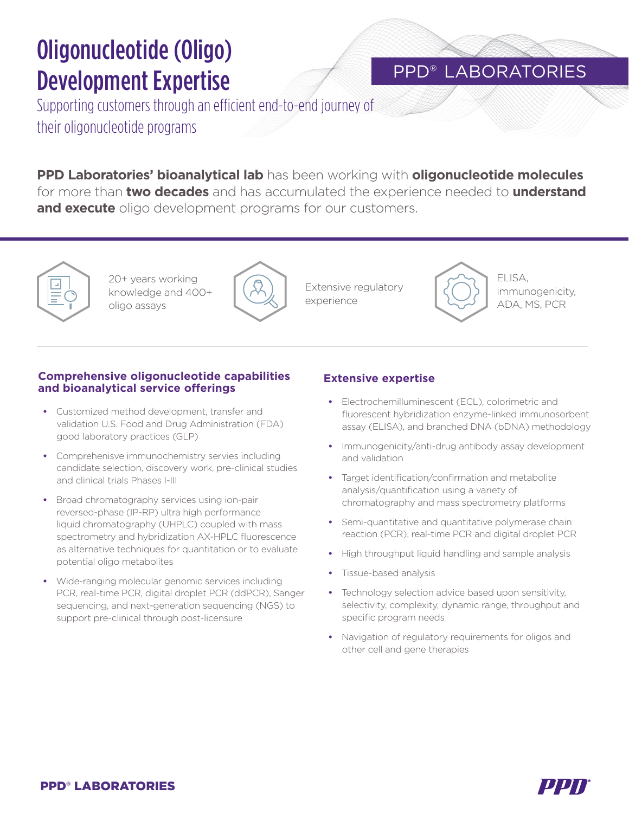# Oligonucleotide (Oligo) Development Expertise

### PPD® LABORATORIES

Supporting customers through an efficient end-to-end journey of their oligonucleotide programs

**PPD Laboratories' bioanalytical lab** has been working with **oligonucleotide molecules** for more than **two decades** and has accumulated the experience needed to **understand and execute** oligo development programs for our customers.

20+ years working knowledge and 400+ oligo assays



Extensive regulatory experience



ELISA, immunogenicity, ADA, MS, PCR

#### **Comprehensive oligonucleotide capabilities and bioanalytical service offerings**

- Customized method development, transfer and validation U.S. Food and Drug Administration (FDA) good laboratory practices (GLP)
- Comprehenisve immunochemistry servies including candidate selection, discovery work, pre-clinical studies and clinical trials Phases I-III
- Broad chromatography services using ion-pair reversed-phase (IP-RP) ultra high performance liquid chromatography (UHPLC) coupled with mass spectrometry and hybridization AX-HPLC fluorescence as alternative techniques for quantitation or to evaluate potential oligo metabolites
- Wide-ranging molecular genomic services including PCR, real-time PCR, digital droplet PCR (ddPCR), Sanger sequencing, and next-generation sequencing (NGS) to support pre-clinical through post-licensure

#### **Extensive expertise**

- Electrochemilluminescent (ECL), colorimetric and fluorescent hybridization enzyme-linked immunosorbent assay (ELISA), and branched DNA (bDNA) methodology
- Immunogenicity/anti-drug antibody assay development and validation
- Target identification/confirmation and metabolite analysis/quantification using a variety of chromatography and mass spectrometry platforms
- Semi-quantitative and quantitative polymerase chain reaction (PCR), real-time PCR and digital droplet PCR
- High throughput liquid handling and sample analysis
- Tissue-based analysis
- Technology selection advice based upon sensitivity, selectivity, complexity, dynamic range, throughput and specific program needs
- Navigation of regulatory requirements for oligos and other cell and gene therapies